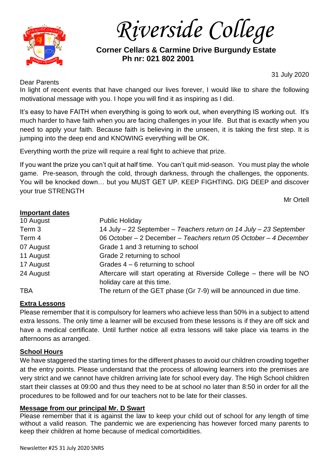

*Riverside College*

# **Corner Cellars & Carmine Drive Burgundy Estate Ph nr: 021 802 2001**

### Dear Parents

31 July 2020

In light of recent events that have changed our lives forever, I would like to share the following motivational message with you. I hope you will find it as inspiring as I did.

It's easy to have FAITH when everything is going to work out, when everything IS working out. It's much harder to have faith when you are facing challenges in your life. But that is exactly when you need to apply your faith. Because faith is believing in the unseen, it is taking the first step. It is jumping into the deep end and KNOWING everything will be OK.

Everything worth the prize will require a real fight to achieve that prize.

If you want the prize you can't quit at half time. You can't quit mid-season. You must play the whole game. Pre-season, through the cold, through darkness, through the challenges, the opponents. You will be knocked down… but you MUST GET UP. KEEP FIGHTING. DIG DEEP and discover your true STRENGTH

Mr Ortell

## **Important dates**

| <b>HIPPOLIMIII MAIVO</b> |                                                                                                      |
|--------------------------|------------------------------------------------------------------------------------------------------|
| 10 August                | <b>Public Holiday</b>                                                                                |
| Term 3                   | 14 July - 22 September - Teachers return on 14 July - 23 September                                   |
| Term 4                   | 06 October - 2 December - Teachers return 05 October - 4 December                                    |
| 07 August                | Grade 1 and 3 returning to school                                                                    |
| 11 August                | Grade 2 returning to school                                                                          |
| 17 August                | Grades $4 - 6$ returning to school                                                                   |
| 24 August                | Aftercare will start operating at Riverside College – there will be NO<br>holiday care at this time. |
| <b>TBA</b>               | The return of the GET phase (Gr 7-9) will be announced in due time.                                  |
|                          |                                                                                                      |

## **Extra Lessons**

Please remember that it is compulsory for learners who achieve less than 50% in a subject to attend extra lessons. The only time a learner will be excused from these lessons is if they are off sick and have a medical certificate. Until further notice all extra lessons will take place via teams in the afternoons as arranged.

## **School Hours**

We have staggered the starting times for the different phases to avoid our children crowding together at the entry points. Please understand that the process of allowing learners into the premises are very strict and we cannot have children arriving late for school every day. The High School children start their classes at 09:00 and thus they need to be at school no later than 8:50 in order for all the procedures to be followed and for our teachers not to be late for their classes.

## **Message from our principal Mr. D Swart**

Please remember that it is against the law to keep your child out of school for any length of time without a valid reason. The pandemic we are experiencing has however forced many parents to keep their children at home because of medical comorbidities.